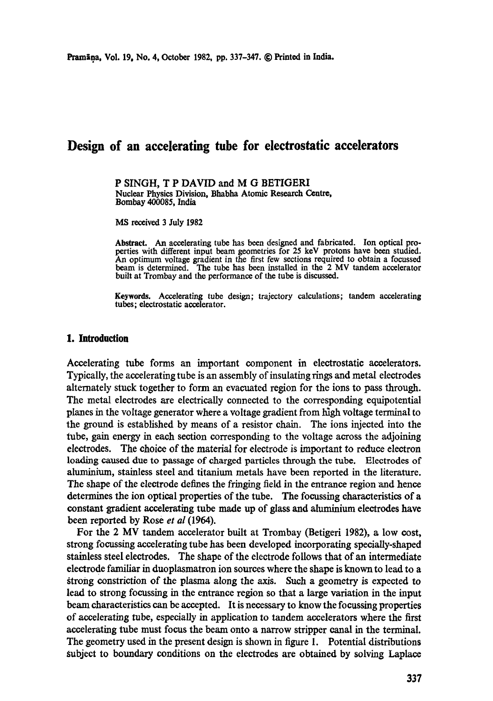# **Design of an accelerating tube for electrostatic accelerators**

P SINGH, T P DAVID and M G BETIGERI Nuclear Physics Division, Bhabha Atomic Research Centre, Bombay 400085, India

MS received 3 July 1982

**Abstract.** An accelerating tube has been designed and fabricated. Ion optical properties with different input beam geometries for 25 keV protons have been studied. An optimum voltage gradient in the first few sections required to obtain a focussed beam is determined. The tube has been installed in the 2 MV tandem accelerator built at Trombay and the performance of the tube is discussed.

**Keywords.** Accelerating tube design; trajectory calculations; tandem accelerating tubes; electrostatic accelerator.

## **1. Introduction**

Accelerating tube forms an important component in electrostatic accelerators. Typically, the accelerating tube is an assembly of insulating rings and metal electrodes alternately stuck together to form an evacuated region for the ions to pass through. The metal electrodes axe electrically connected to the corresponding equipotential planes in the voltage generator where a voltage gradient from high voltage terminal to the ground is established by means of a resistor chain. The ions injected into the tube, gain energy in each section corresponding to the voltage across the adjoining electrodes. The choice of the material for electrode is important to reduce electron loading caused due to passage of charged particles through the tube. Electrodes of almninium, stainless steel and titanium metals have been reported in the literature. The shape of the electrode defines the fringing field in the entrance region and hence determines the ion optical properties of the tube. The focussing characteristics of a constant gradient accelerating tube made up of glass and aluminium electrodes have been reported by Rose *et al* (1964).

For the 2 MV tandem accelerator built at Trombay (Betigeri 1982), a low cost, strong focussing accelerating tube has been developed incorporating specially-shaped stainless steel electrodes. The shape of the electrode follows that of an intermediate electrode familiar in duoplasmatron ion sources where the shape is known to lead to a ~trong *constriction* of the plasma along the axis. Such a geometry is expected to lead to strong focussing in the entrance region so that a large variation in the input beam characteristics can be accepted. It is necessary to know the focussing properties of accelerating tube, especially in application to tandem accelerators where the first accelerating tube must focus the beam onto a narrow stripper canal in the terminal. The geometry used in the present design is shown in figure I. Potential distributions subject to boundary conditions on the electrodes are obtained by solving Laplace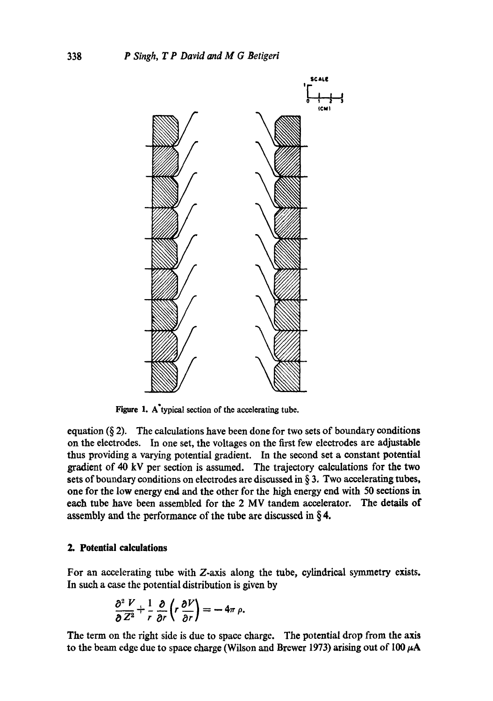

Figure 1. A'typical section of the accelerating tube.

equation  $(\S 2)$ . The calculations have been done for two sets of boundary conditions on the electrodes. In one set, the voltages on the first few electrodes are adjustable thus providing a varying potential gradient. In the second set a constant potential gradient of 40 kV per section is assumed. The trajectory calculations for the two sets of boundary conditions on electrodes are discussed in  $\S$  3. Two accelerating tubes, one for the low energy end and the other for the high energy end with 50 sections in each tube have been assembled for the 2 MV tandem accelerator. The details of assembly and the performance of the tube are discussed in  $\S 4$ .

# **2. Potential calculations**

For an accelerating tube with Z.axis along the tube, cylindrical symmetry exists. In such a case the potential distribution is given by

$$
\frac{\partial^2 V}{\partial Z^2} + \frac{1}{r} \frac{\partial}{\partial r} \left( r \frac{\partial V}{\partial r} \right) = -4\pi \rho.
$$

The term on the right side is due to space charge. The potential drop from the axis to the beam edge due to space charge (Wilson and Brewer 1973) arising out of  $100 \mu A$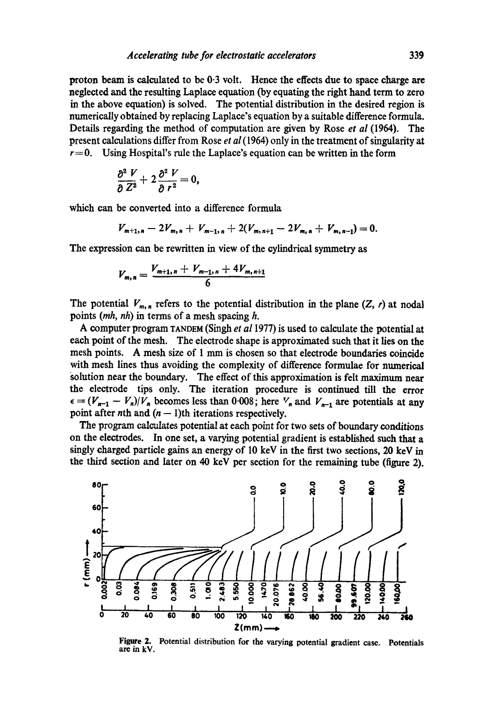proton beam is calculated to be 0.3 volt. Hence the effects due to space charge **are**  neglected and the resulting Laplace equation (by equating the right hand term to zero in the above equation) is solved. The potential distribution in the desired region is numerically obtained by replacing Laplace's equation by a suitable difference formula. Details regarding the method of computation are given by Rose *et al* (1964). The present calculations differ from Rose *et al* (1964) only in the treatment of singularity at  $r=0$ . Using Hospital's rule the Laplace's equation can be written in the form

$$
\frac{\partial^2 V}{\partial Z^2} + 2 \frac{\partial^2 V}{\partial r^2} = 0,
$$

which can be converted into a difference formula

$$
V_{m+1,n}-2V_{m,n}+V_{m-1,n}+2(V_{m,n+1}-2V_{m,n}+V_{m,n-1})=0.
$$

The expression can be rewritten in view of the cylindrical symmetry as

$$
V_{m,n} = \frac{V_{m+1,n} + V_{m-1,n} + 4V_{m,n+1}}{6}
$$

The potential  $V_{m,n}$ , refers to the potential distribution in the plane (Z, r) at nodal points *(mh, nh) in* terms of a mesh spacing h.

A computer program TANDEM (Singh *et a11977)* is used to calculate the potential at each point of the mesh. The electrode shape is approximated such that it lies on the mesh points. A mesh size of 1 mm is chosen so that electrode boundaries coincide with mesh lines thus avoiding the complexity of difference formulae for numerical solution near the boundary. The effect of this approximation is felt maximum near the electrode tips only. The iteration procedure is continued till the error  $\epsilon = (V_{n-1} - V_n)/V_n$  becomes less than 0.008; here  $V_n$  and  $V_{n-1}$  are potentials at any point after nth and  $(n - 1)$ th iterations respectively.

The program calculates potential at each point for two sets of boundary conditions on the electrodes. In one set, a varying potential gradient is established such that a singly charged particle gains an energy of 10 keV in the first two sections, 20 keV in the third section and later on 40 keV per section for the remaining tube (figure 2).



Figure 2. Potential distribution for the varying potential gradient case. Potentials are in kV.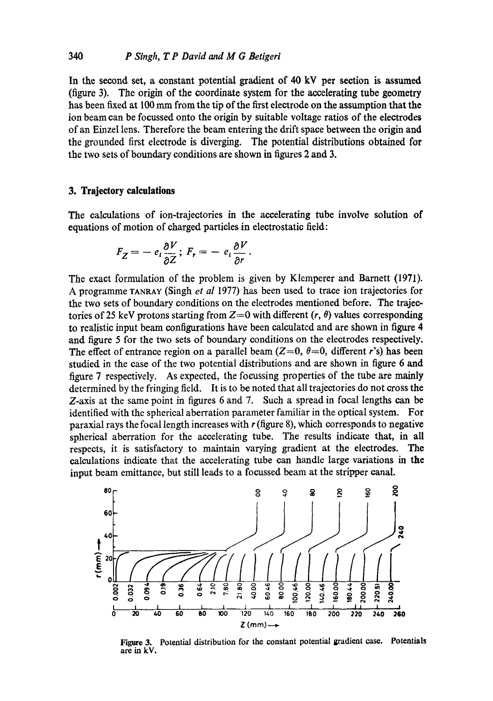In the second set, a constant potential gradient of 40 kV per section is assumed (figure 3). The origin of the coordinate system for the accelerating tube geometry has been fixed at 100 mm from the tip of the first electrode on the assumption that the ion beam can be focussed onto the origin by suitable voltage ratios of the electrodes of an Einzel lens. Therefore the beam entering the drift space between the origin and the grounded first electrode is diverging. The potential distributions obtained for the two sets of boundary conditions are shown in figures 2 and 3.

#### **3. Trajectory calculations**

The calculations of ion-trajectories in the accelerating tube involve solution of equations of motion of charged particles in electrostatic field:

$$
F_Z = - e_i \frac{\partial V}{\partial Z};\ F_r = - e_i \frac{\partial V}{\partial r}.
$$

The exact formulation of the problem is given by Klemperer and Barnett (1971). A programme TANRAY (Singh *et al* 1977) has been used to trace ion trajectories for the two sets of boundary conditions on the electrodes mentioned before. The trajectories of 25 keV protons starting from  $Z=0$  with different  $(r, \theta)$  values corresponding to realistic input beam configurations have been calculated and are shown in figure 4 and figure 5 for the two sets of boundary conditions on the electrodes respectively. The effect of entrance region on a parallel beam  $(Z=0, \theta=0, \text{ different } r\text{'s})$  has been studied in the case of the two potential distributions and are shown in figure 6 and figure 7 respectively. As expected, the focussing properties of the tube are mainly determined by the fringing field. It is to be noted that all trajectories do not cross the Z-axis at the same point in figures 6 and 7. Such a spread in focal lengths can be identified with the spherical aberration parameter familiar in the optical system. For paraxial rays the focal length increases with  $r$  (figure 8), which corresponds to negative spherical aberration for the accelerating tube. The results indicate that, in all respects, it is satisfactory to maintain varying gradient at the electrodes. The calculations indicate that the accelerating tube can handle large variations in the input beam emittance, but still leads to a focussed beam at the stripper canal.



Figure 3. Potential distribution for the constant potential gradient case. **Potentials**  are in kV.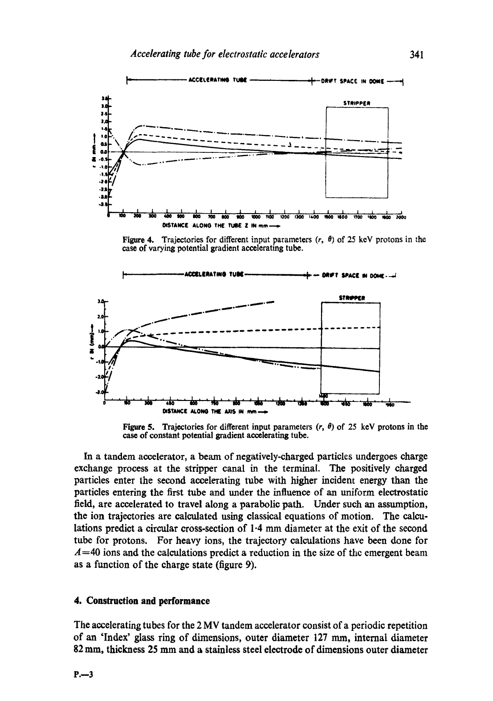

**Figure 4.** Trajectories for different input parameters  $(r, \theta)$  of 25 keV protons in the **ease of varying potential gradient accelerating tube.** 



**Figure 5.** Trajectories for different input parameters  $(r, \theta)$  of 25 keV protons in the **case of constant potential gradient accelerating tube.** 

**In a tandem accelerator, a beam of negatively-charged particles undergoes charge exchange process at the stripper canal in the terminal. The positively charged particles enter the second accelerating tube with higher incident energy than the particles entering the first tube and under the influence of an uniform electrostatic field, are accelerated to travel along a parabolic path. Under such an assumption, the ion trajectories are calculated using classical equations of motion. The calculations predict a circular cross-section of 1.4 mm diameter at the exit of the second tube for protons. For heavy ions, the trajectory calculations have been done for A =40 ions and the calculations predict a reduction in the size of the emergent beam as a function of the charge state (figure 9).** 

#### **4. Construction and performance**

**The accelerating tubes for the 2 MV tandem accelerator consist of a periodic repetition of an 'Index' glass ring of dimensions, outer diameter 127 ram, internal diameter 82 ram, thickness 25 mm and a stainless steel electrode of dimensions outer diameter**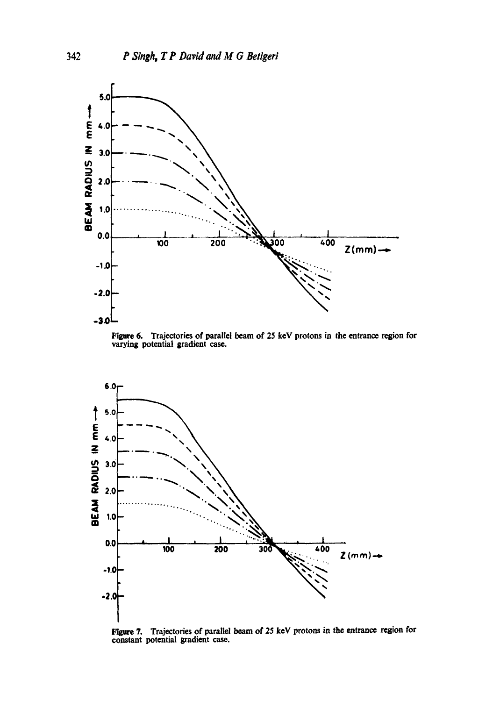

Figure 6. Trajectories of parallel beam of 25 keV protons in the entrance region for varying potential gradient case.



Figure 7. Trajectories of parallel beam of 25 keY protons in the entrance region for constant potential gradient case.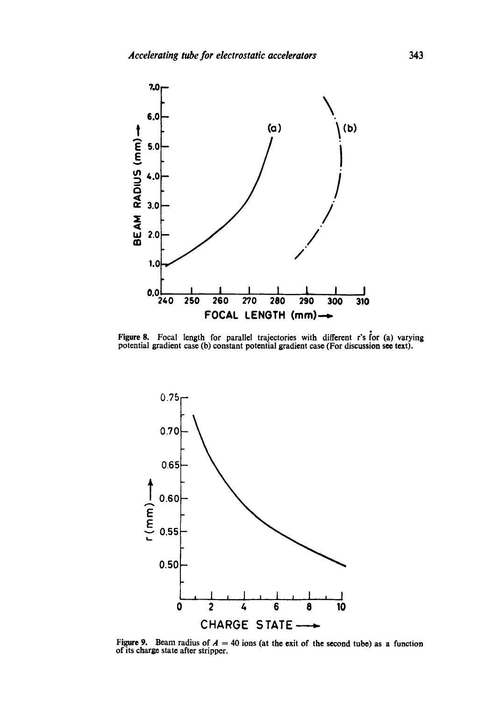

Figure 8. Focal length for parallel trajectories with different r's for (a) varying potential gradient case (b) constant potential gradient case (For discussion see text).



Figure 9. Beam radius of  $A = 40$  ions (at the exit of the second tube) as a function of its charge state after stripper.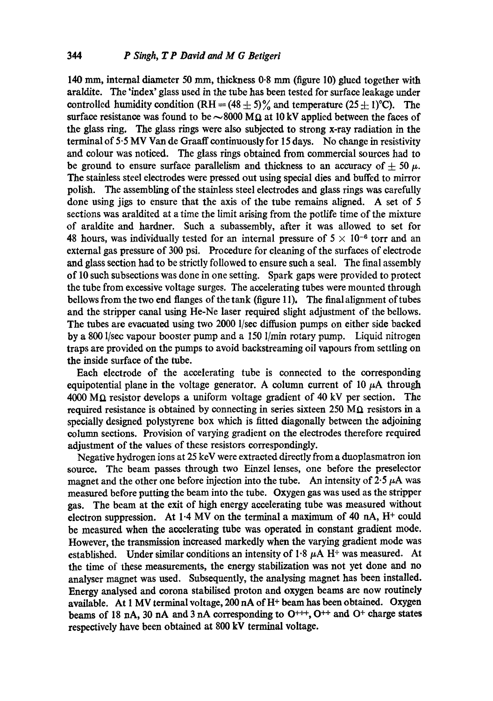140 mm, internal diameter 50 mm, thickness 0.8 mm (figure 10) glued together with araldite. The 'index' glass used in the tube has been tested for surface leakage under controlled humidity condition  $(RH = (48 \pm 5)\%$  and temperature  $(25 \pm 1)\degree$ C). The surface resistance was found to be  $\sim 8000 \text{ M}\Omega$  at 10 kV applied between the faces of the glass ring. The glass rings were also subjected to strong x-ray radiation in the terminal of 5.5 MV Van de Graaff continuously for 15 days. No change in resistivity and colour was noticed. The glass rings obtained from commercial sources had to be ground to ensure surface parallelism and thickness to an accuracy of  $+ 50~\mu$ . The stainless steel electrodes were pressed out using special dies and buffed to mirror polish. The assembling of the stainless steel electrodes and glass rings was carefully done using jigs to ensure that the axis of the tube remains aligned. A set of 5 sections was araldited at a time the limit arising from the potlife time of the mixture of araldite and hardner. Such a subassembly, after it was allowed to set for 48 hours, was individually tested for an internal pressure of  $5 \times 10^{-6}$  torr and an external gas pressure of 300 psi. Procedure for cleaning of the surfaces of electrode and glass section had to be strictly followed to ensure such a seal. The final assembly of 10 such subsections was done in one setting. Spark gaps were provided to protect the tube from excessive voltage surges. The accelerating tubes were mounted through bellows from the two end flanges of the tank (figure 11). The final alignment of tubes and the stripper canal using He-Ne laser required slight adjustment of the bellows. The tubes are evacuated using two 2000 1/see diffusion pumps on either side backed by a 800 l/sec vapour booster pump and a 150 l/min rotary pump. Liquid nitrogen traps are provided on the pumps to avoid backstreaming oil vapours from settling on the inside surface of the tube.

Each electrode of the accelerating tube is connected to the corresponding equipotential plane in the voltage generator. A column current of 10  $\mu$ A through  $4000 \text{ M}\Omega$  resistor develops a uniform voltage gradient of 40 kV per section. The required resistance is obtained by connecting in series sixteen 250  $M\Omega$  resistors in a specially designed polystyrene box which is fitted diagonally between the adjoining column sections. Provision of varying gradient on the electrodes therefore required adjustment of the values of these resistors correspondingly.

Negative hydrogen ions at 25 keV were extracted directly from a duoplasmatron ion source. The beam passes through two Einzel lenses, one before the preselector magnet and the other one before injection into the tube. An intensity of  $2.5~\mu$ A was measured before putting the beam into the tube. Oxygen gas was used as the stripper gas. The beam at the exit of high energy accelerating tube was measured without electron suppression. At  $1.4$  MV on the terminal a maximum of 40 nA,  $H^+$  could be measured when the accelerating tube was operated in constant gradient mode. However, the transmission increased markedly when the varying gradient mode was established. Under similar conditions an intensity of  $1.8~\mu$ A H + was measured. At the time of these measurements, the energy stabilization was not yet done and no analyser magnet was used. Subsequently, the analysing magnet has been installed. Energy analysed and corona stabilised proton and oxygen beams are now routinely available. At 1 MV terminal voltage, 200 nA of H<sup>+</sup> beam has been obtained. Oxygen beams of 18 nA, 30 nA and 3 nA corresponding to  $O^{+++}$ ,  $O^{++}$  and  $O^+$  charge states respectively have been obtained at 800 kV terminal voltage.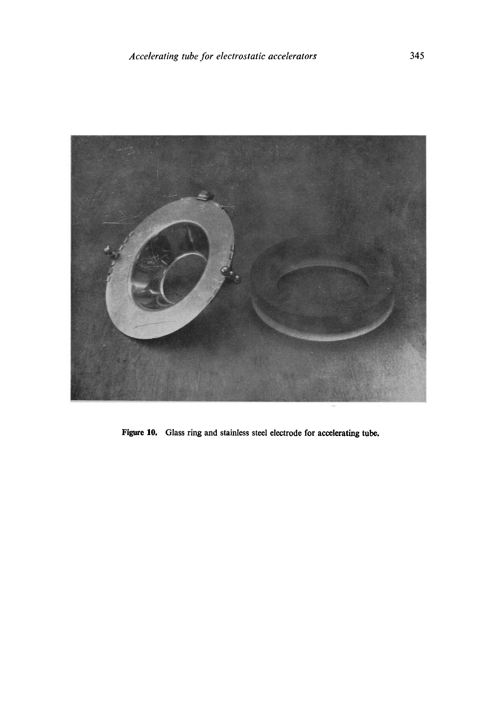

Figure 10, Glass ring and stainless steel electrode for accelerating tube.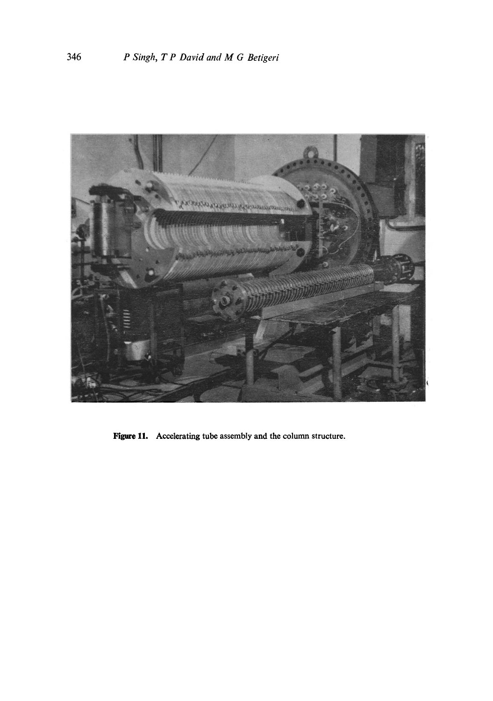

Figure 11. Accelerating tube assembly and the column structure.